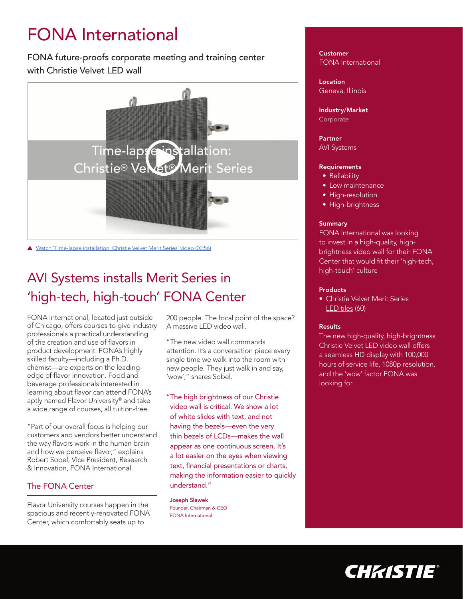# FONA International

FONA future-proofs corporate meeting and training center with Christie Velvet LED wall



▲ [Watch 'Time-lapse installation: Christie Velvet Merit Series' video \(00:56\)](https://www.youtube.com/watch?v=wFLx66S87Gs)

## AVI Systems installs Merit Series in 'high-tech, high-touch' FONA Center

FONA International, located just outside of Chicago, offers courses to give industry professionals a practical understanding of the creation and use of flavors in product development. FONA's highly skilled faculty—including a Ph.D. chemist—are experts on the leadingedge of flavor innovation. Food and beverage professionals interested in learning about flavor can attend FONA's aptly named Flavor University® and take a wide range of courses, all tuition-free.

"Part of our overall focus is helping our customers and vendors better understand the way flavors work in the human brain and how we perceive flavor," explains Robert Sobel, Vice President, Research & Innovation, FONA International.

## The FONA Center

Flavor University courses happen in the spacious and recently-renovated FONA Center, which comfortably seats up to

200 people. The focal point of the space? A massive LED video wall.

"The new video wall commands attention. It's a conversation piece every single time we walk into the room with new people. They just walk in and say, 'wow'," shares Sobel.

"The high brightness of our Christie video wall is critical. We show a lot of white slides with text, and not having the bezels—even the very thin bezels of LCDs—makes the wall appear as one continuous screen. It's a lot easier on the eyes when viewing text, financial presentations or charts, making the information easier to quickly understand."

Joseph Slawek Founder, Chairman & CEO FONA International

**Customer** FONA International

Location Geneva, Illinois

Industry/Market **Corporate** 

Partner AVI Systems

#### **Requirements**

- Reliability
- Low maintenance
- High-resolution
- High-brightness

#### **Summary**

FONA International was looking to invest in a high-quality, highbrightness video wall for their FONA Center that would fit their 'high-tech, high-touch' culture

#### **Products**

• [Christie Velvet Merit Series](https://www.christiedigital.com/en-us/digital-signage/products/led-tiles/merit-series) [LED tiles](https://www.christiedigital.com/en-us/digital-signage/products/led-tiles/merit-series) (60)

#### **Results**

The new high-quality, high-brightness Christie Velvet LED video wall offers a seamless HD display with 100,000 hours of service life, 1080p resolution, and the 'wow' factor FONA was looking for